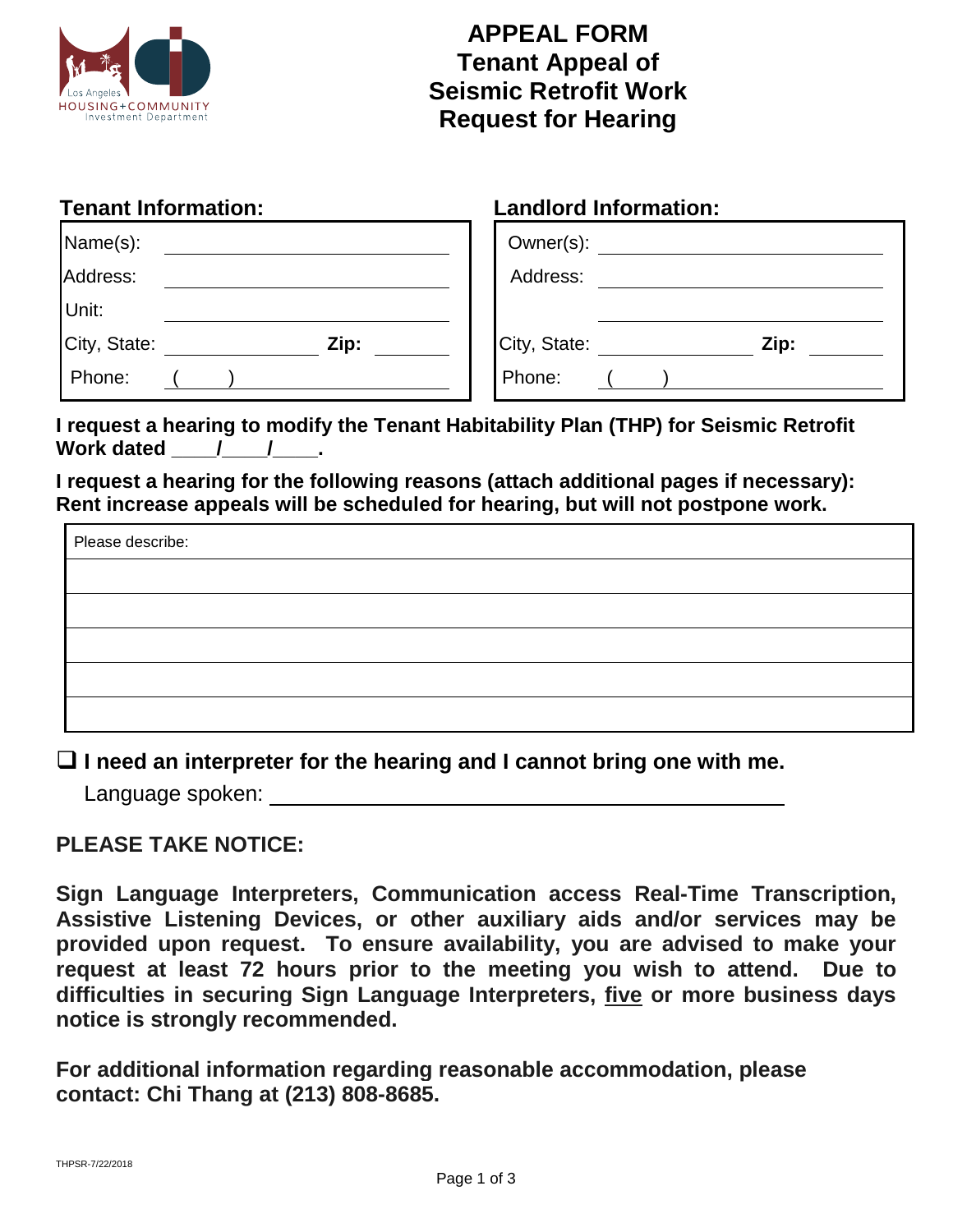

## **APPEAL FORM Tenant Appeal of Seismic Retrofit Work Request for Hearing**

| <b>Tenant Information:</b> |      |              | <b>Landlord Information:</b> |      |  |
|----------------------------|------|--------------|------------------------------|------|--|
| Name(s):                   |      | Owner(s):    |                              |      |  |
| Address:                   |      | Address:     |                              |      |  |
| Unit:                      |      |              |                              |      |  |
| City, State:               | Zip: | City, State: |                              | Zip: |  |
| Phone:                     |      | Phone:       |                              |      |  |

**I request a hearing to modify the Tenant Habitability Plan (THP) for Seismic Retrofit**  Work dated / /

**I request a hearing for the following reasons (attach additional pages if necessary): Rent increase appeals will be scheduled for hearing, but will not postpone work.**

| Please describe: |  |  |
|------------------|--|--|
|                  |  |  |
|                  |  |  |
|                  |  |  |
|                  |  |  |
|                  |  |  |

**I need an interpreter for the hearing and I cannot bring one with me.** 

Language spoken:

#### **PLEASE TAKE NOTICE:**

**Sign Language Interpreters, Communication access Real-Time Transcription, Assistive Listening Devices, or other auxiliary aids and/or services may be provided upon request. To ensure availability, you are advised to make your request at least 72 hours prior to the meeting you wish to attend. Due to difficulties in securing Sign Language Interpreters, five or more business days notice is strongly recommended.**

**For additional information regarding reasonable accommodation, please contact: Chi Thang at (213) 808-8685.**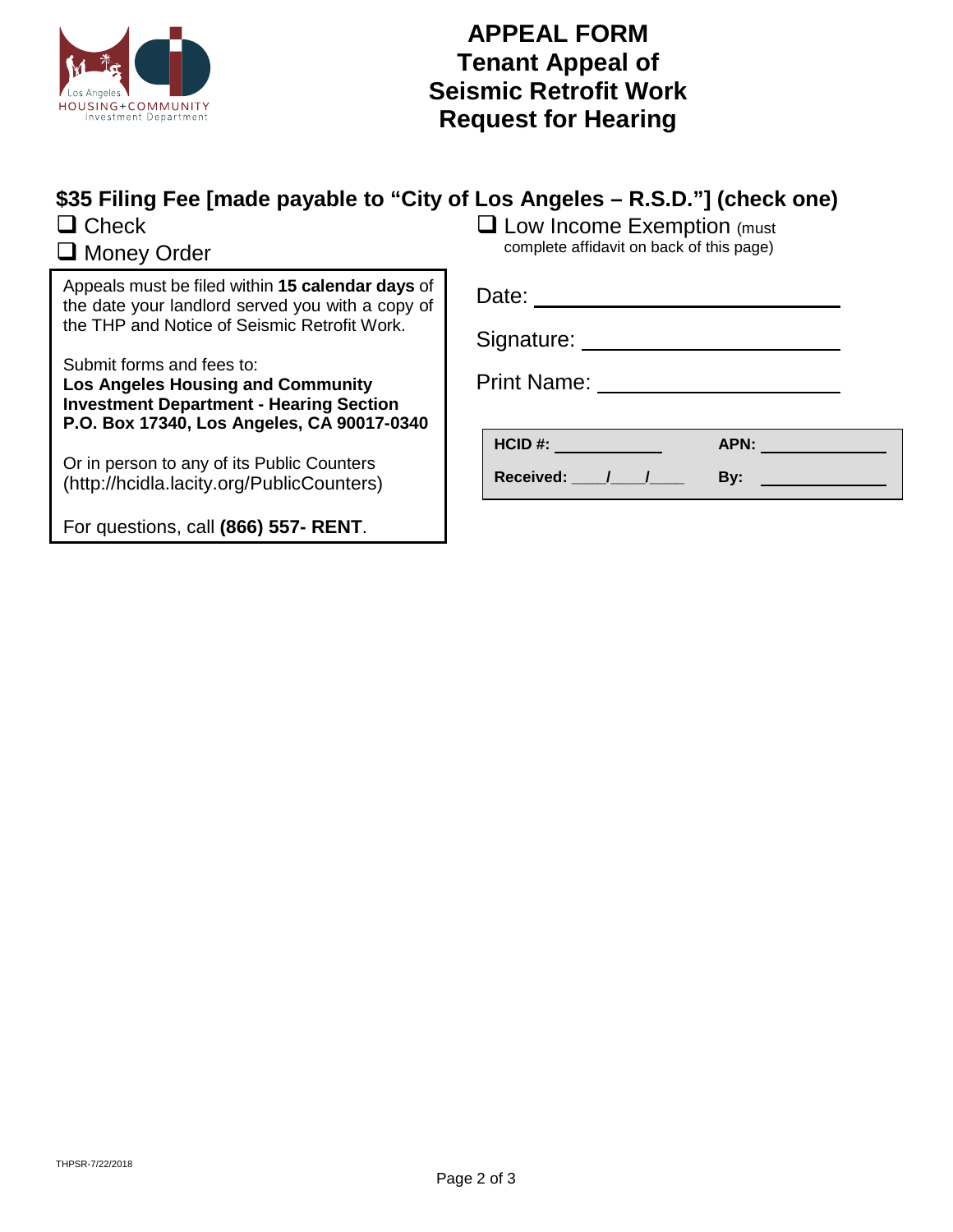

### **APPEAL FORM Tenant Appeal of Seismic Retrofit Work Request for Hearing**

# **\$35 Filing Fee [made payable to "City of Los Angeles – R.S.D."] (check one)**

 $\Box$  Check

### **Q** Money Order

Appeals must be filed within **15 calendar days** of the date your landlord served you with a copy of the THP and Notice of Seismic Retrofit Work.

Submit forms and fees to:

**Los Angeles Housing and Community Investment Department - Hearing Section P.O. Box 17340, Los Angeles, CA 90017-0340**

Or in person to any of its Public Counters (http://hcidla.lacity.org/PublicCounters)

For questions, call **(866) 557- RENT**.

**Q** Low Income Exemption (must complete affidavit on back of this page)

| Date:              |
|--------------------|
| Signature:         |
| <b>Print Name:</b> |

| HCID #:          | APN: |  |
|------------------|------|--|
| <b>Received:</b> | B۷:  |  |